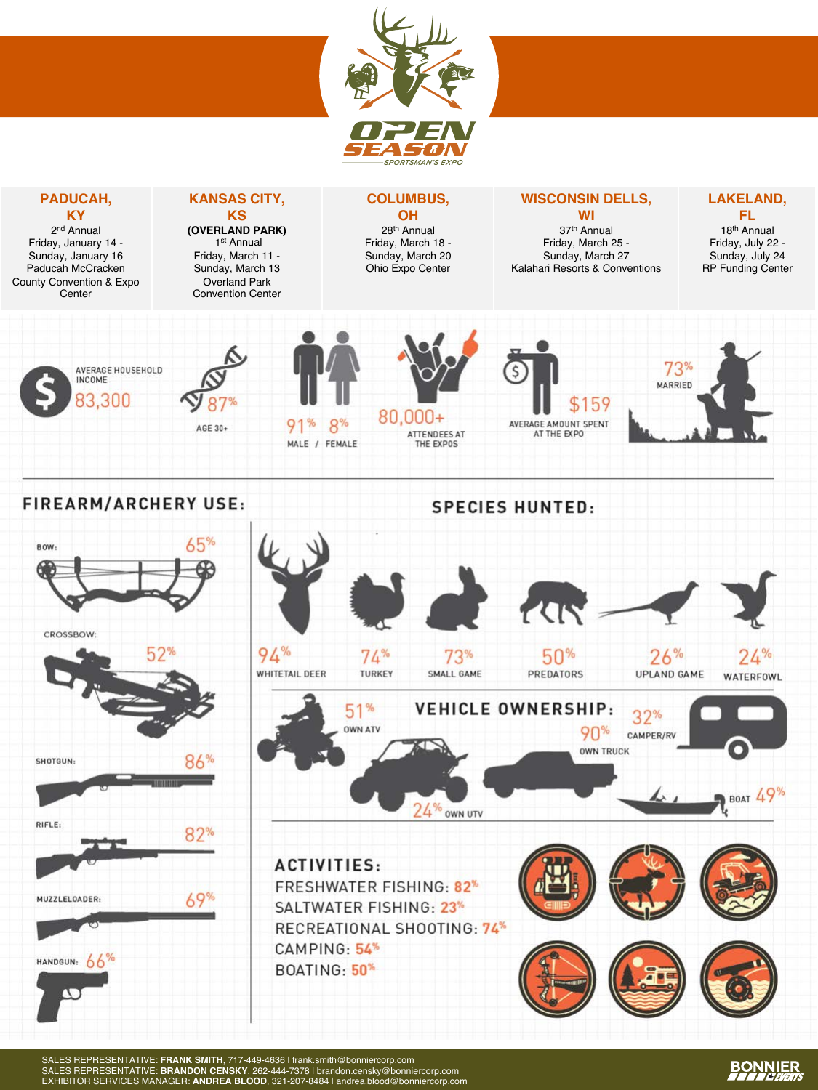

**COLUMBUS, OH** 28th Annual Friday, March 18 - Sunday, March 20 Ohio Expo Center

#### **WISCONSIN DELLS, WI**

37th Annual Friday, March 25 - Sunday, March 27 Kalahari Resorts & Conventions

#### **LAKELAND, FL**

18th Annual Friday, July 22 - Sunday, July 24 RP Funding Center



**PADUCAH, KY** 2nd Annual Friday, January 14 - Sunday, January 16 Paducah McCracken County Convention & Expo **Center** 

> 87% AGE 30+

**KANSAS CITY, KS (OVERLAND PARK)** 1st Annual Friday, March 11 - Sunday, March 13 Overland Park Convention Center

 $91%$ 

 $8%$ MALE / FEMALE

S  $80.000 +$ ATTENDEES AT

**SPECIES HUNTED:** 

\$159 AVERAGE AMOUNT SPENT AT THE EXPO



#### **FIREARM/ARCHERY USE:**



SALES REPRESENTATIVE: **FRANK SMITH**, 717-449-4636 | frank.smith@bonniercorp.com SALES REPRESENTATIVE: **BRANDON CENSKY**, 262-444-7378 | brandon.censky@bonniercorp.com EXHIBITOR SERVICES MANAGER: **ANDREA BLOOD**, 321-207-8484 | andrea.blood@bonniercorp.com

## **BONNIER**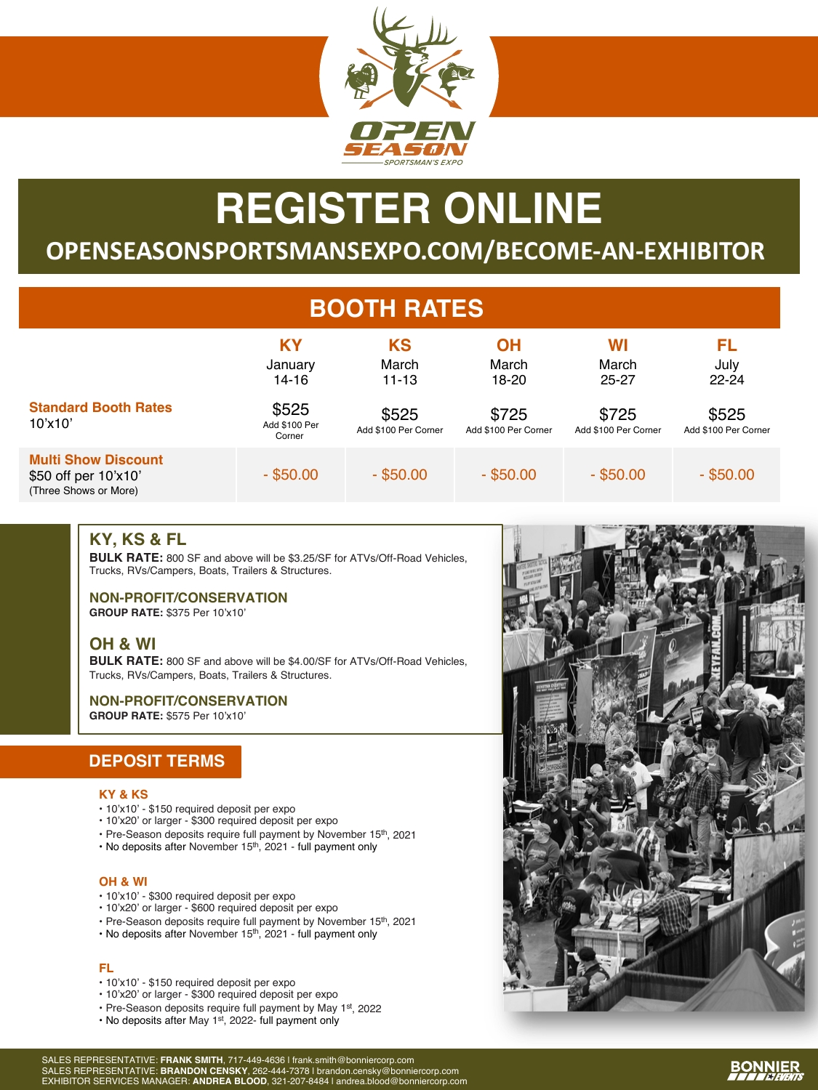

# **REGISTER ONLINE**

## **OPENSEASONSPORTSMANSEXPO.COM/BECOME-AN-EXHIBITOR**

## **BOOTH RATES**

|                                                                             | ΚY<br>January<br>14-16           | KS<br>March<br>$11 - 13$      | OН<br>March<br>18-20          | WI<br>March<br>25-27          | FL<br>July<br>$22 - 24$       |
|-----------------------------------------------------------------------------|----------------------------------|-------------------------------|-------------------------------|-------------------------------|-------------------------------|
| <b>Standard Booth Rates</b><br>10'x10'                                      | \$525<br>Add \$100 Per<br>Corner | \$525<br>Add \$100 Per Corner | \$725<br>Add \$100 Per Corner | \$725<br>Add \$100 Per Corner | \$525<br>Add \$100 Per Corner |
| <b>Multi Show Discount</b><br>\$50 off per 10'x10'<br>(Three Shows or More) | $-$ \$50.00                      | $-$ \$50.00                   | $-$ \$50.00                   | $-$ \$50.00                   | $-$ \$50.00                   |

#### **KY, KS & FL**

**BULK RATE:** 800 SF and above will be \$3.25/SF for ATVs/Off-Road Vehicles, Trucks, RVs/Campers, Boats, Trailers & Structures.

**NON-PROFIT/CONSERVATION GROUP RATE:** \$375 Per 10'x10'

#### **OH & WI**

**BULK RATE:** 800 SF and above will be \$4.00/SF for ATVs/Off-Road Vehicles, Trucks, RVs/Campers, Boats, Trailers & Structures.

#### **NON-PROFIT/CONSERVATION**

**GROUP RATE:** \$575 Per 10'x10'

#### **DEPOSIT TERMS**

#### **KY & KS**

- 10'x10' \$150 required deposit per expo
- 10'x20' or larger \$300 required deposit per expo
- Pre-Season deposits require full payment by November 15<sup>th</sup>, 2021
- No deposits after November 15<sup>th</sup>, 2021 full payment only

#### **OH & WI**

- 10'x10' \$300 required deposit per expo
- 10'x20' or larger \$600 required deposit per expo
- Pre-Season deposits require full payment by November 15th, 2021
- No deposits after November 15<sup>th</sup>, 2021 full payment only

#### **FL**

- 10'x10' \$150 required deposit per expo
- 10'x20' or larger \$300 required deposit per expo
- Pre-Season deposits require full payment by May 1st, 2022
- No deposits after May 1st, 2022- full payment only





## **BONNIER**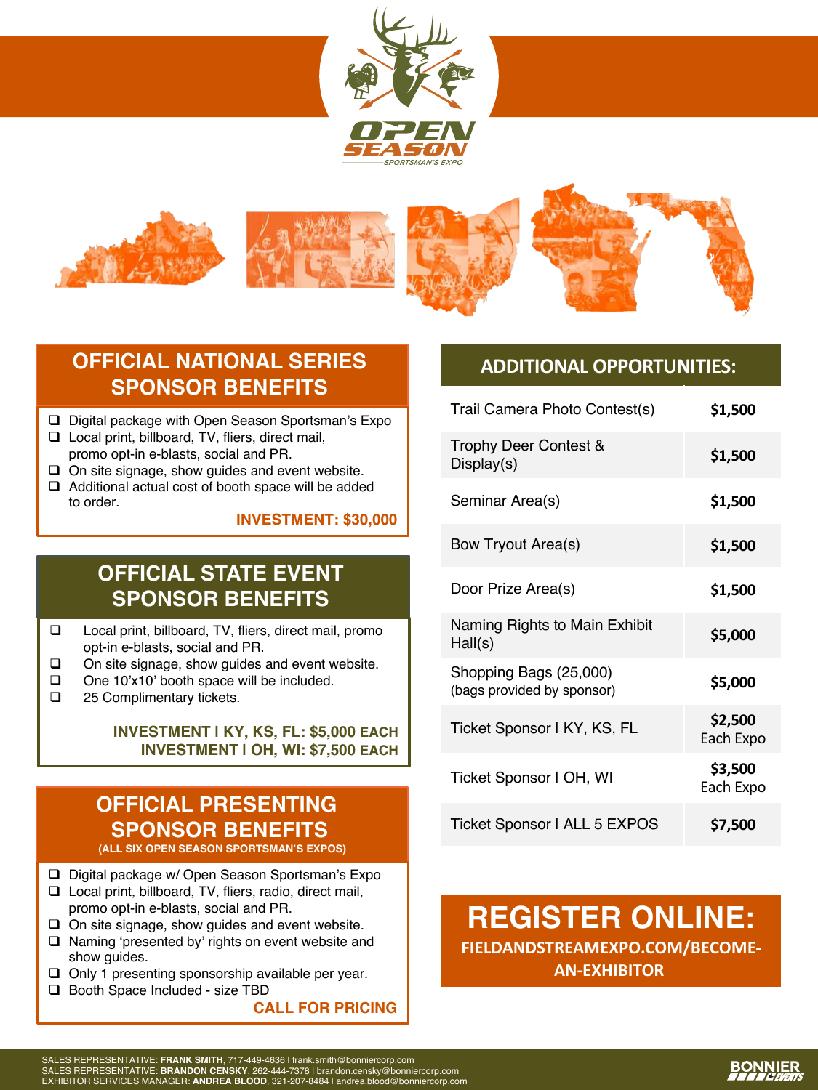



## **OFFICIAL NATIONAL SERIES SPONSOR BENEFITS**

- $\Box$  Digital package with Open Season Sportsman's Expo
- $\Box$  Local print, billboard, TV, fliers, direct mail, promo opt-in e-blasts, social and PR.
- $\Box$  On site signage, show guides and event website.
- $\Box$  Additional actual cost of booth space will be added to order.

**INVESTMENT: \$30,000**

## **OFFICIAL STATE EVENT SPONSOR BENEFITS**

- □ Local print, billboard, TV, fliers, direct mail, promo opt-in e-blasts, social and PR.
- $\Box$  On site signage, show guides and event website.
- $\Box$  One 10'x10' booth space will be included.
- $\Box$  25 Complimentary tickets.

#### **INVESTMENT | KY, KS, FL: \$5,000 EACH INVESTMENT | OH, WI: \$7,500 EACH**

## **OFFICIAL PRESENTING SPONSOR BENEFITS**

**(ALL SIX OPEN SEASON SPORTSMAN'S EXPOS)**

- $\Box$  Digital package w/ Open Season Sportsman's Expo
- $\Box$  Local print, billboard, TV, fliers, radio, direct mail, promo opt-in e-blasts, social and PR.
- $\Box$  On site signage, show guides and event website.
- $\Box$  Naming 'presented by' rights on event website and show guides.
- $\Box$  Only 1 presenting sponsorship available per year.
- □ Booth Space Included size TBD

**CALL FOR PRICING**

#### **ADDITIONAL OPPORTUNITIES:**

| Trail Camera Photo Contest(s)                        | \$1,500              |
|------------------------------------------------------|----------------------|
| Trophy Deer Contest &<br>Display(s)                  | \$1,500              |
| Seminar Area(s)                                      | \$1,500              |
| Bow Tryout Area(s)                                   | \$1,500              |
| Door Prize Area(s)                                   | \$1,500              |
| Naming Rights to Main Exhibit<br>Hall(s)             | \$5,000              |
| Shopping Bags (25,000)<br>(bags provided by sponsor) | \$5,000              |
| Ticket Sponsor I KY, KS, FL                          | \$2,500<br>Each Expo |
| Ticket Sponsor I OH, WI                              | \$3,500<br>Each Expo |
| Ticket Sponsor   ALL 5 EXPOS                         | \$7,500              |

## **REGISTER ONLINE: FIELDANDSTREAMEXPO.COM/BECOME-AN-EXHIBITOR**

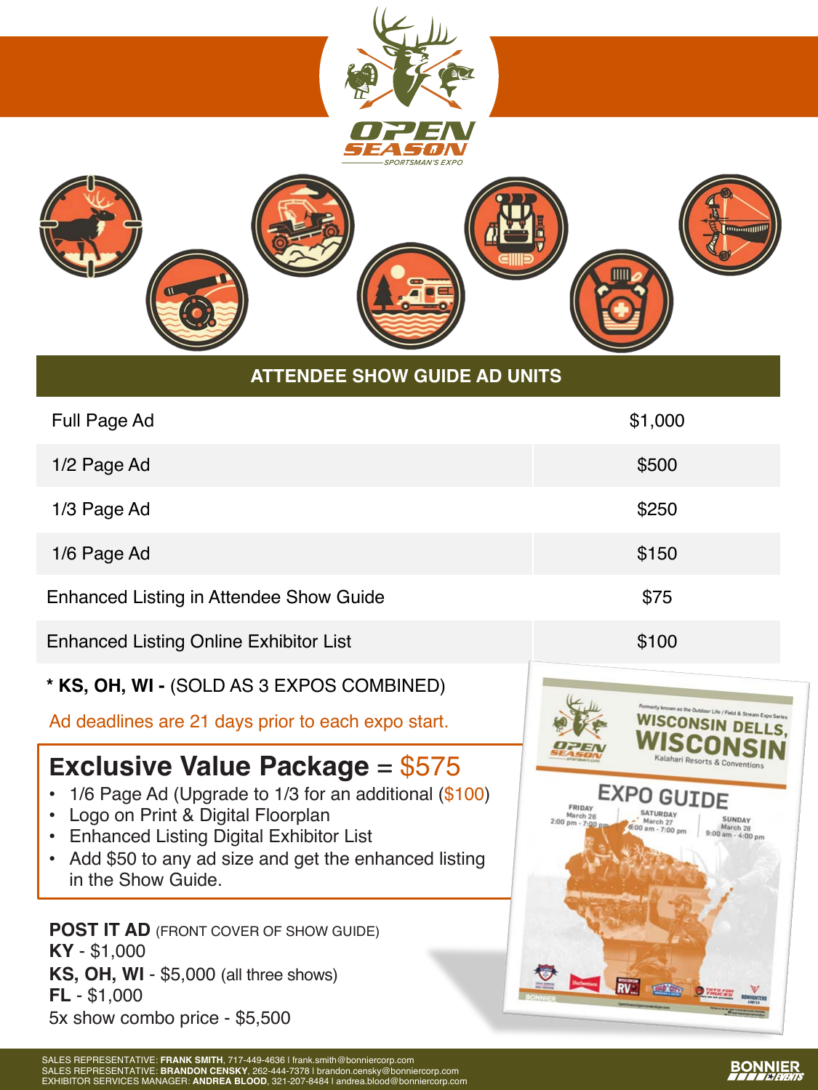

#### **ATTENDEE SHOW GUIDE AD UNITS**

| Full Page Ad                                  | \$1,000 |
|-----------------------------------------------|---------|
| 1/2 Page Ad                                   | \$500   |
| 1/3 Page Ad                                   | \$250   |
| 1/6 Page Ad                                   | \$150   |
| Enhanced Listing in Attendee Show Guide       | \$75    |
| <b>Enhanced Listing Online Exhibitor List</b> | \$100   |

#### **\* KS, OH, WI -** (SOLD AS 3 EXPOS COMBINED)

Ad deadlines are 21 days prior to each expo start.

## **Exclusive Value Package = \$575**

- 1/6 Page Ad (Upgrade to 1/3 for an additional (\$100)
- Logo on Print & Digital Floorplan
- Enhanced Listing Digital Exhibitor List
- Add \$50 to any ad size and get the enhanced listing in the Show Guide.

**POST IT AD** (FRONT COVER OF SHOW GUIDE) **KY** - \$1,000 **KS, OH, WI** - \$5,000 (all three shows) **FL** - \$1,000 5x show combo price - \$5,500